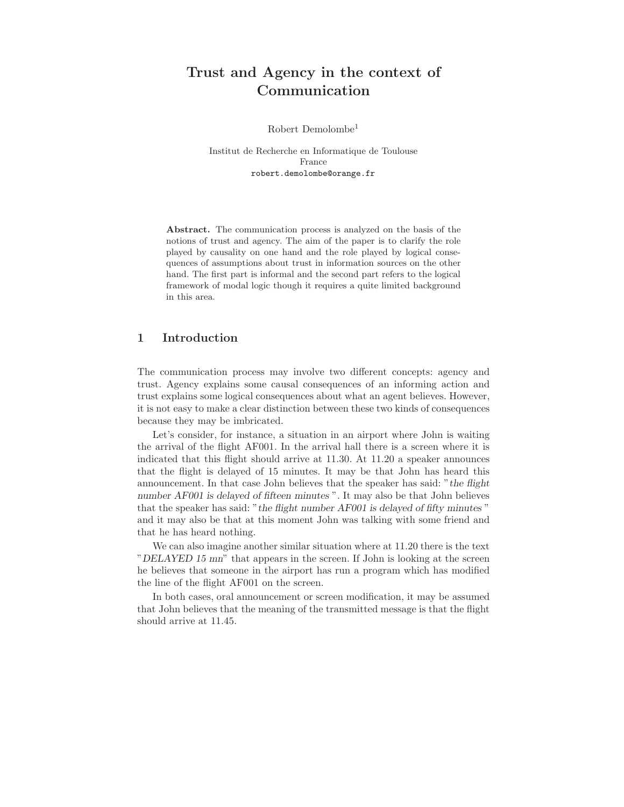# Trust and Agency in the context of Communication

Robert Demolombe<sup>1</sup>

Institut de Recherche en Informatique de Toulouse France robert.demolombe@orange.fr

Abstract. The communication process is analyzed on the basis of the notions of trust and agency. The aim of the paper is to clarify the role played by causality on one hand and the role played by logical consequences of assumptions about trust in information sources on the other hand. The first part is informal and the second part refers to the logical framework of modal logic though it requires a quite limited background in this area.

# 1 Introduction

The communication process may involve two different concepts: agency and trust. Agency explains some causal consequences of an informing action and trust explains some logical consequences about what an agent believes. However, it is not easy to make a clear distinction between these two kinds of consequences because they may be imbricated.

Let's consider, for instance, a situation in an airport where John is waiting the arrival of the flight AF001. In the arrival hall there is a screen where it is indicated that this flight should arrive at 11.30. At 11.20 a speaker announces that the flight is delayed of 15 minutes. It may be that John has heard this announcement. In that case John believes that the speaker has said: "the flight number AF001 is delayed of fifteen minutes ". It may also be that John believes that the speaker has said: "the flight number AF001 is delayed of fifty minutes " and it may also be that at this moment John was talking with some friend and that he has heard nothing.

We can also imagine another similar situation where at 11.20 there is the text "DELAYED 15 mn" that appears in the screen. If John is looking at the screen he believes that someone in the airport has run a program which has modified the line of the flight AF001 on the screen.

In both cases, oral announcement or screen modification, it may be assumed that John believes that the meaning of the transmitted message is that the flight should arrive at 11.45.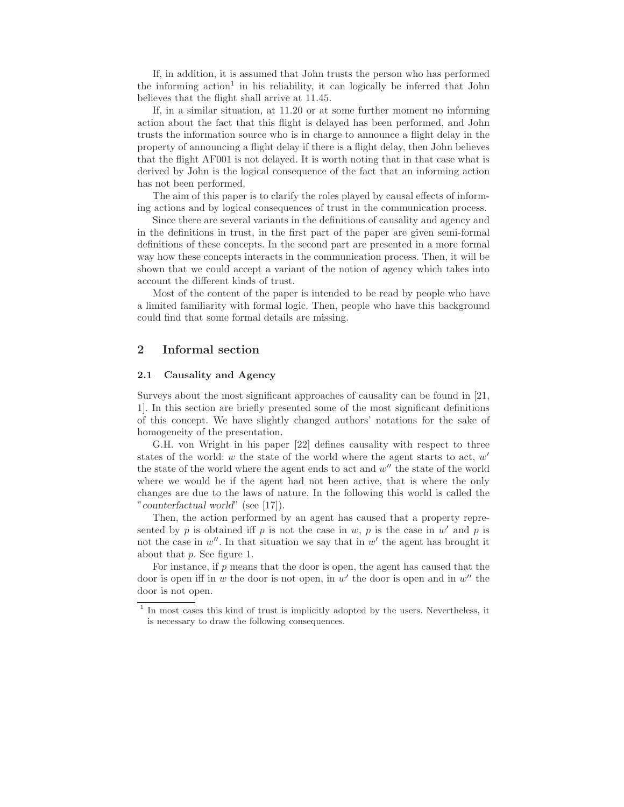If, in addition, it is assumed that John trusts the person who has performed the informing action<sup>1</sup> in his reliability, it can logically be inferred that John believes that the flight shall arrive at 11.45.

If, in a similar situation, at 11.20 or at some further moment no informing action about the fact that this flight is delayed has been performed, and John trusts the information source who is in charge to announce a flight delay in the property of announcing a flight delay if there is a flight delay, then John believes that the flight AF001 is not delayed. It is worth noting that in that case what is derived by John is the logical consequence of the fact that an informing action has not been performed.

The aim of this paper is to clarify the roles played by causal effects of informing actions and by logical consequences of trust in the communication process.

Since there are several variants in the definitions of causality and agency and in the definitions in trust, in the first part of the paper are given semi-formal definitions of these concepts. In the second part are presented in a more formal way how these concepts interacts in the communication process. Then, it will be shown that we could accept a variant of the notion of agency which takes into account the different kinds of trust.

Most of the content of the paper is intended to be read by people who have a limited familiarity with formal logic. Then, people who have this background could find that some formal details are missing.

# 2 Informal section

### 2.1 Causality and Agency

Surveys about the most significant approaches of causality can be found in [21, 1]. In this section are briefly presented some of the most significant definitions of this concept. We have slightly changed authors' notations for the sake of homogeneity of the presentation.

G.H. von Wright in his paper [22] defines causality with respect to three states of the world:  $w$  the state of the world where the agent starts to act,  $w'$ the state of the world where the agent ends to act and  $w''$  the state of the world where we would be if the agent had not been active, that is where the only changes are due to the laws of nature. In the following this world is called the "counterfactual world" (see [17]).

Then, the action performed by an agent has caused that a property represented by p is obtained iff p is not the case in w, p is the case in w' and p is not the case in  $w''$ . In that situation we say that in  $w'$  the agent has brought it about that p. See figure 1.

For instance, if p means that the door is open, the agent has caused that the door is open if in w the door is not open, in w' the door is open and in  $w''$  the door is not open.

<sup>&</sup>lt;sup>1</sup> In most cases this kind of trust is implicitly adopted by the users. Nevertheless, it is necessary to draw the following consequences.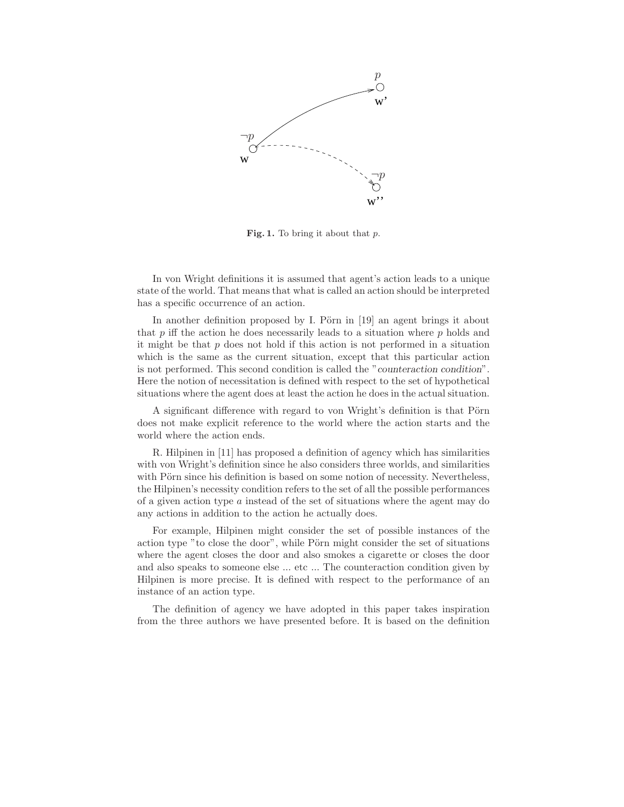

Fig. 1. To bring it about that  $p$ .

In von Wright definitions it is assumed that agent's action leads to a unique state of the world. That means that what is called an action should be interpreted has a specific occurrence of an action.

In another definition proposed by I. Pörn in  $[19]$  an agent brings it about that p iff the action he does necessarily leads to a situation where  $p$  holds and it might be that  $p$  does not hold if this action is not performed in a situation which is the same as the current situation, except that this particular action is not performed. This second condition is called the "counteraction condition". Here the notion of necessitation is defined with respect to the set of hypothetical situations where the agent does at least the action he does in the actual situation.

A significant difference with regard to von Wright's definition is that Pörn does not make explicit reference to the world where the action starts and the world where the action ends.

R. Hilpinen in [11] has proposed a definition of agency which has similarities with von Wright's definition since he also considers three worlds, and similarities with Pörn since his definition is based on some notion of necessity. Nevertheless, the Hilpinen's necessity condition refers to the set of all the possible performances of a given action type a instead of the set of situations where the agent may do any actions in addition to the action he actually does.

For example, Hilpinen might consider the set of possible instances of the action type "to close the door", while Pörn might consider the set of situations where the agent closes the door and also smokes a cigarette or closes the door and also speaks to someone else ... etc ... The counteraction condition given by Hilpinen is more precise. It is defined with respect to the performance of an instance of an action type.

The definition of agency we have adopted in this paper takes inspiration from the three authors we have presented before. It is based on the definition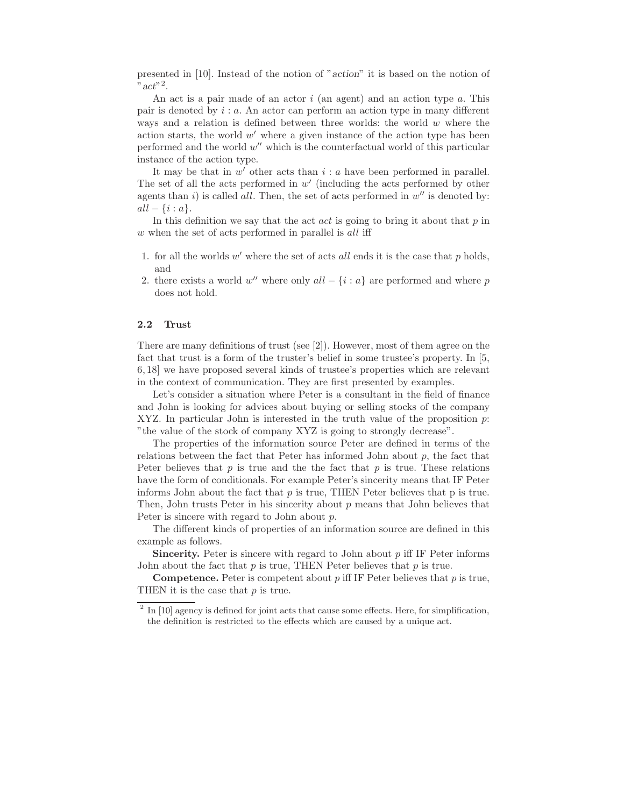presented in [10]. Instead of the notion of "action" it is based on the notion of "  $act$ "<sup>2</sup>.

An act is a pair made of an actor  $i$  (an agent) and an action type  $a$ . This pair is denoted by  $i : a$ . An actor can perform an action type in many different ways and a relation is defined between three worlds: the world  $w$  where the action starts, the world  $w'$  where a given instance of the action type has been performed and the world  $w''$  which is the counterfactual world of this particular instance of the action type.

It may be that in  $w'$  other acts than  $i : a$  have been performed in parallel. The set of all the acts performed in  $w'$  (including the acts performed by other agents than i) is called all. Then, the set of acts performed in  $w''$  is denoted by:  $all - \{i : a\}.$ 

In this definition we say that the act *act* is going to bring it about that  $p$  in w when the set of acts performed in parallel is all iff

- 1. for all the worlds  $w'$  where the set of acts all ends it is the case that  $p$  holds, and
- 2. there exists a world w'' where only  $all \{i : a\}$  are performed and where p does not hold.

#### 2.2 Trust

There are many definitions of trust (see [2]). However, most of them agree on the fact that trust is a form of the truster's belief in some trustee's property. In [5, 6, 18] we have proposed several kinds of trustee's properties which are relevant in the context of communication. They are first presented by examples.

Let's consider a situation where Peter is a consultant in the field of finance and John is looking for advices about buying or selling stocks of the company XYZ. In particular John is interested in the truth value of the proposition  $p$ . "the value of the stock of company XYZ is going to strongly decrease".

The properties of the information source Peter are defined in terms of the relations between the fact that Peter has informed John about  $p$ , the fact that Peter believes that  $p$  is true and the the fact that  $p$  is true. These relations have the form of conditionals. For example Peter's sincerity means that IF Peter informs John about the fact that  $p$  is true. THEN Peter believes that  $p$  is true. Then, John trusts Peter in his sincerity about  $p$  means that John believes that Peter is sincere with regard to John about p.

The different kinds of properties of an information source are defined in this example as follows.

**Sincerity.** Peter is sincere with regard to John about  $p$  iff IF Peter informs John about the fact that  $p$  is true, THEN Peter believes that  $p$  is true.

**Competence.** Peter is competent about p iff IF Peter believes that p is true, THEN it is the case that p is true.

 $2$  In [10] agency is defined for joint acts that cause some effects. Here, for simplification, the definition is restricted to the effects which are caused by a unique act.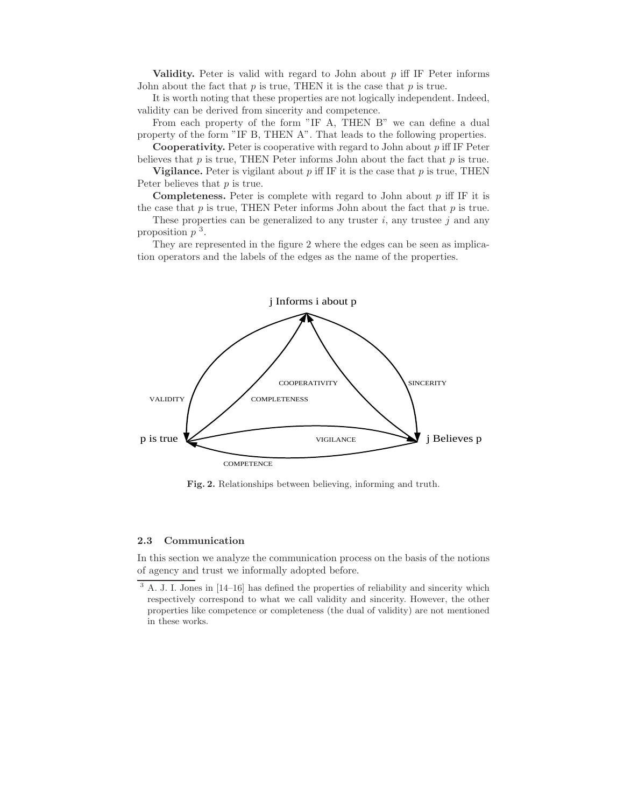Validity. Peter is valid with regard to John about  $p$  iff IF Peter informs John about the fact that  $p$  is true, THEN it is the case that  $p$  is true.

It is worth noting that these properties are not logically independent. Indeed, validity can be derived from sincerity and competence.

From each property of the form "IF A, THEN B" we can define a dual property of the form "IF B, THEN A". That leads to the following properties.

**Cooperativity.** Peter is cooperative with regard to John about  $p$  iff IF Peter believes that  $p$  is true, THEN Peter informs John about the fact that  $p$  is true.

**Vigilance.** Peter is vigilant about p iff IF it is the case that p is true, THEN Peter believes that  $p$  is true.

**Completeness.** Peter is complete with regard to John about  $p$  iff IF it is

the case that  $p$  is true, THEN Peter informs John about the fact that  $p$  is true. These properties can be generalized to any truster i, any trustee j and any proposition  $p<sup>3</sup>$ .

They are represented in the figure 2 where the edges can be seen as implication operators and the labels of the edges as the name of the properties.



Fig. 2. Relationships between believing, informing and truth.

#### 2.3 Communication

In this section we analyze the communication process on the basis of the notions of agency and trust we informally adopted before.

<sup>&</sup>lt;sup>3</sup> A. J. I. Jones in [14–16] has defined the properties of reliability and sincerity which respectively correspond to what we call validity and sincerity. However, the other properties like competence or completeness (the dual of validity) are not mentioned in these works.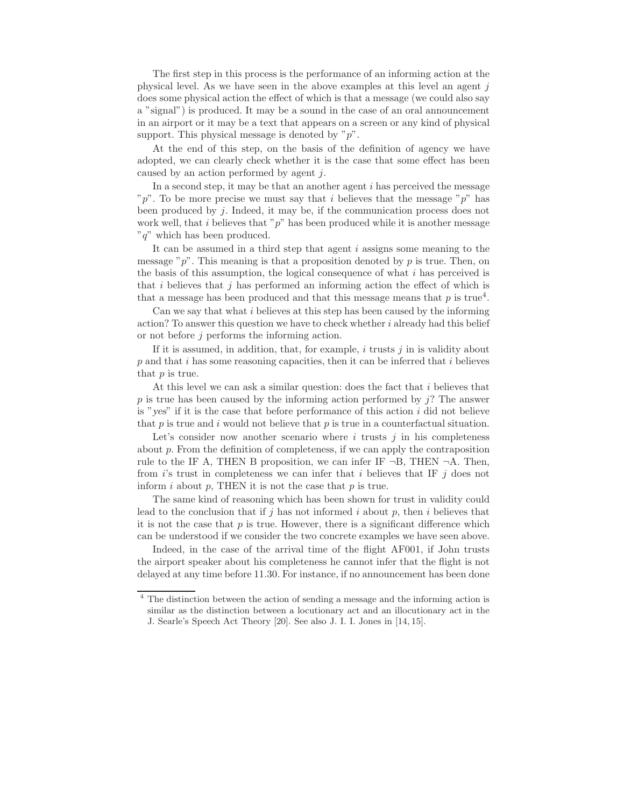The first step in this process is the performance of an informing action at the physical level. As we have seen in the above examples at this level an agent  $j$ does some physical action the effect of which is that a message (we could also say a "signal") is produced. It may be a sound in the case of an oral announcement in an airport or it may be a text that appears on a screen or any kind of physical support. This physical message is denoted by  $"p"$ .

At the end of this step, on the basis of the definition of agency we have adopted, we can clearly check whether it is the case that some effect has been caused by an action performed by agent j.

In a second step, it may be that an another agent  $i$  has perceived the message "p". To be more precise we must say that i believes that the message " $p$ " has been produced by j. Indeed, it may be, if the communication process does not work well, that i believes that " $p$ " has been produced while it is another message " $q$ " which has been produced.

It can be assumed in a third step that agent  $i$  assigns some meaning to the message " $p$ ". This meaning is that a proposition denoted by p is true. Then, on the basis of this assumption, the logical consequence of what  $i$  has perceived is that  $i$  believes that  $j$  has performed an informing action the effect of which is that a message has been produced and that this message means that  $p$  is true<sup>4</sup>.

Can we say that what i believes at this step has been caused by the informing action? To answer this question we have to check whether i already had this belief or not before j performs the informing action.

If it is assumed, in addition, that, for example,  $i$  trusts  $j$  in is validity about  $p$  and that i has some reasoning capacities, then it can be inferred that i believes that p is true.

At this level we can ask a similar question: does the fact that  $i$  believes that p is true has been caused by the informing action performed by  $j$ ? The answer is "yes" if it is the case that before performance of this action  $i$  did not believe that  $p$  is true and  $i$  would not believe that  $p$  is true in a counterfactual situation.

Let's consider now another scenario where  $i$  trusts  $j$  in his completeness about p. From the definition of completeness, if we can apply the contraposition rule to the IF A, THEN B proposition, we can infer IF  $\neg B$ , THEN  $\neg A$ . Then, from is trust in completeness we can infer that i believes that IF j does not inform  $i$  about  $p$ , THEN it is not the case that  $p$  is true.

The same kind of reasoning which has been shown for trust in validity could lead to the conclusion that if j has not informed i about p, then i believes that it is not the case that  $p$  is true. However, there is a significant difference which can be understood if we consider the two concrete examples we have seen above.

Indeed, in the case of the arrival time of the flight AF001, if John trusts the airport speaker about his completeness he cannot infer that the flight is not delayed at any time before 11.30. For instance, if no announcement has been done

<sup>4</sup> The distinction between the action of sending a message and the informing action is similar as the distinction between a locutionary act and an illocutionary act in the J. Searle's Speech Act Theory [20]. See also J. I. I. Jones in [14, 15].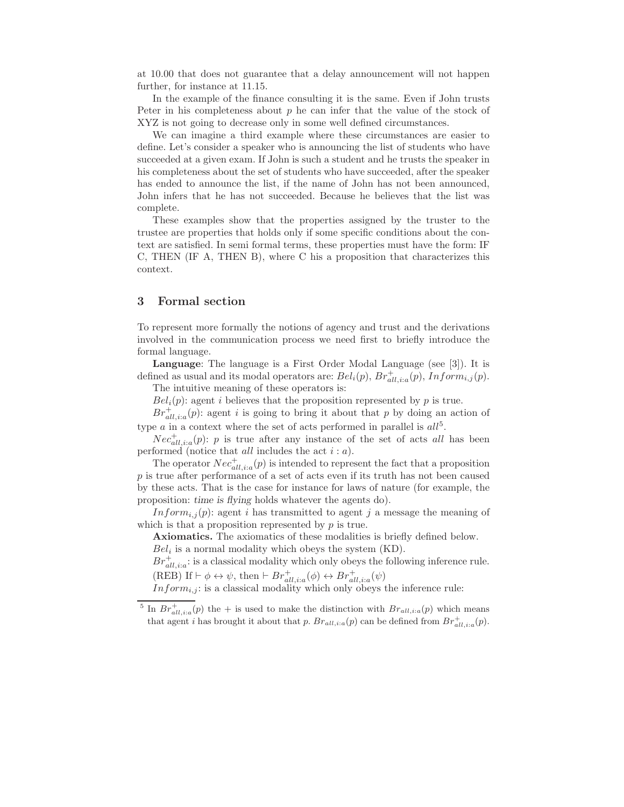at 10.00 that does not guarantee that a delay announcement will not happen further, for instance at 11.15.

In the example of the finance consulting it is the same. Even if John trusts Peter in his completeness about  $p$  he can infer that the value of the stock of XYZ is not going to decrease only in some well defined circumstances.

We can imagine a third example where these circumstances are easier to define. Let's consider a speaker who is announcing the list of students who have succeeded at a given exam. If John is such a student and he trusts the speaker in his completeness about the set of students who have succeeded, after the speaker has ended to announce the list, if the name of John has not been announced, John infers that he has not succeeded. Because he believes that the list was complete.

These examples show that the properties assigned by the truster to the trustee are properties that holds only if some specific conditions about the context are satisfied. In semi formal terms, these properties must have the form: IF C, THEN (IF A, THEN B), where C his a proposition that characterizes this context.

# 3 Formal section

To represent more formally the notions of agency and trust and the derivations involved in the communication process we need first to briefly introduce the formal language.

Language: The language is a First Order Modal Language (see [3]). It is defined as usual and its modal operators are:  $Bel_i(p)$ ,  $Br_{all,i:a}^+(p)$ ,  $Inform_{i,j}(p)$ .

The intuitive meaning of these operators is:

 $Bel_i(p)$ : agent *i* believes that the proposition represented by *p* is true.

 $Br_{all, i:a}^+(p)$ : agent i is going to bring it about that p by doing an action of type  $a$  in a context where the set of acts performed in parallel is  $all<sup>5</sup>$ .

 $Nec_{all,ia}^+(p)$ : p is true after any instance of the set of acts all has been performed (notice that *all* includes the act  $i : a$ ).

The operator  $Nec_{all,ia}^+(p)$  is intended to represent the fact that a proposition p is true after performance of a set of acts even if its truth has not been caused by these acts. That is the case for instance for laws of nature (for example, the proposition: time is flying holds whatever the agents do).

Inform<sub>i,j</sub>(p): agent i has transmitted to agent j a message the meaning of which is that a proposition represented by  $p$  is true.

Axiomatics. The axiomatics of these modalities is briefly defined below.  $Bel<sub>i</sub>$  is a normal modality which obeys the system (KD).

 $Br_{all,ia}^+$ : is a classical modality which only obeys the following inference rule.

(REB) If  $\vdash \phi \leftrightarrow \psi$ , then  $\vdash Br_{all, i:a}^{+}(\phi) \leftrightarrow Br_{all, i:a}^{+}(\psi)$ 

 $Inform_{i,j}$ : is a classical modality which only obeys the inference rule:

<sup>5</sup> In  $Br_{all,i:a}^+(p)$  the + is used to make the distinction with  $Br_{all,i:a}(p)$  which means that agent *i* has brought it about that *p*.  $Br_{all, i:a}(p)$  can be defined from  $Br_{all, i:a}^+(p)$ .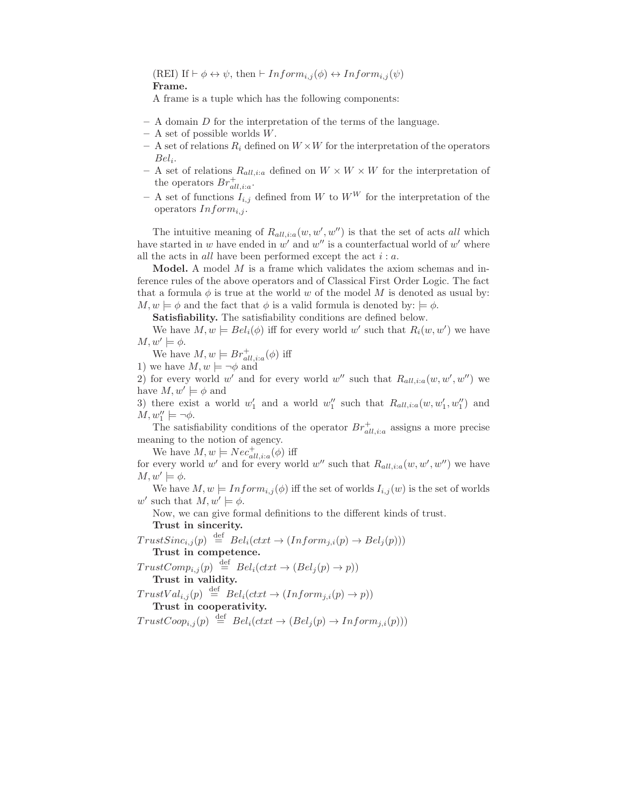(REI) If  $\vdash \phi \leftrightarrow \psi$ , then  $\vdash Inform_{i,j}(\phi) \leftrightarrow Inform_{i,j}(\psi)$ Frame.

A frame is a tuple which has the following components:

- $-$  A domain D for the interpretation of the terms of the language.
- $-$  A set of possible worlds  $W$ .
- A set of relations  $R_i$  defined on  $W \times W$  for the interpretation of the operators  $Bel_i$ .
- A set of relations  $R_{all,ia}$  defined on  $W \times W \times W$  for the interpretation of the operators  $Br_{all, i:a}^+$ .
- A set of functions  $I_{i,j}$  defined from W to  $W^W$  for the interpretation of the operators  $Inform_{i,j}$ .

The intuitive meaning of  $R_{all,ia}(w, w', w'')$  is that the set of acts all which have started in w have ended in w' and w'' is a counterfactual world of w' where all the acts in  $all$  have been performed except the act  $i : a$ .

**Model.** A model  $M$  is a frame which validates the axiom schemas and inference rules of the above operators and of Classical First Order Logic. The fact that a formula  $\phi$  is true at the world w of the model M is denoted as usual by:  $M, w \models \phi$  and the fact that  $\phi$  is a valid formula is denoted by:  $\models \phi$ .

Satisfiability. The satisfiability conditions are defined below.

We have  $M, w \models Bel_i(\phi)$  iff for every world w' such that  $R_i(w, w')$  we have  $M, w' \models \phi.$ 

We have  $M, w \models Br_{all, i:a}^{+}(\phi)$  iff 1) we have  $M, w \models \neg \phi$  and

2) for every world w' and for every world w'' such that  $R_{all, i:a}(w, w', w'')$  we have  $M, w' \models \phi$  and

3) there exist a world  $w'_1$  and a world  $w''_1$  such that  $R_{all, i:a}(w, w'_1, w''_1)$  and  $M, w''_1 \models \neg \phi.$ 

The satisfiability conditions of the operator  $Br_{all,i:a}^{+}$  assigns a more precise meaning to the notion of agency.

We have  $M, w \models Nec_{all, i:a}^{+}(\phi)$  iff

for every world w' and for every world w'' such that  $R_{all, i:a}(w, w', w'')$  we have  $M, w' \models \phi.$ 

We have  $M, w \models Inform_{i,j}(\phi)$  iff the set of worlds  $I_{i,j}(w)$  is the set of worlds w' such that  $M, w' \models \phi$ .

Now, we can give formal definitions to the different kinds of trust. Trust in sincerity.

 $TrustSinc_{i,j}(p) \stackrel{\text{def}}{=} Bel_i(ctxt \rightarrow (Inform_{j,i}(p) \rightarrow Bel_j(p)))$ Trust in competence.  $TrustComp_{i,j}(p) \stackrel{\text{def}}{=} Bel_i(ctxt \rightarrow (Bel_j(p) \rightarrow p))$ 

Trust in validity.

$$
TrustVal_{i,j}(p) \stackrel{\text{def}}{=} Bel_i(ctxt \rightarrow (Inform_{j,i}(p) \rightarrow p))
$$
  
**Trust in cooperativity.**

 $TrustCoop_{i,j}(p) \stackrel{\text{def}}{=} Bel_i(ctxt \rightarrow (Bel_j(p) \rightarrow Inform_{j,i}(p)))$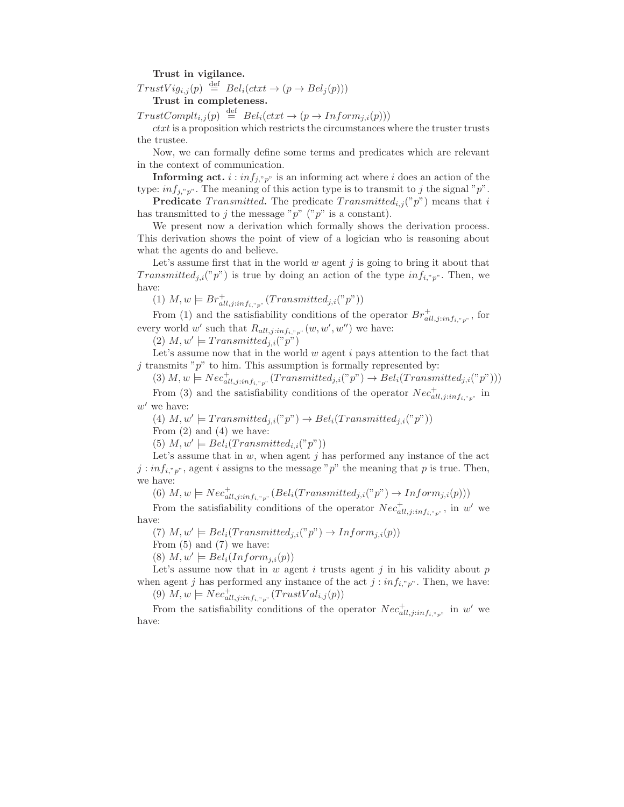#### Trust in vigilance.

 $TrustVig_{i,j}(p) \stackrel{\text{def}}{=} Bel_i(ctxt \rightarrow (p \rightarrow Bel_j(p)))$ Trust in completeness.

 $TrustComplt_{i,j}(p) \stackrel{\text{def}}{=} Bel_i(ctxt \rightarrow (p \rightarrow Inform_{j,i}(p)))$ 

 $ctxt$  is a proposition which restricts the circumstances where the truster trusts the trustee.

Now, we can formally define some terms and predicates which are relevant in the context of communication.

**Informing act.**  $i : inf_{j, y}$  is an informing act where i does an action of the type:  $inf_{j, "p"}.$  The meaning of this action type is to transmit to j the signal "p".

**Predicate** Transmitted. The predicate Transmitted<sub>i,j</sub>("p") means that i has transmitted to j the message "p" ("p" is a constant).

We present now a derivation which formally shows the derivation process. This derivation shows the point of view of a logician who is reasoning about what the agents do and believe.

Let's assume first that in the world  $w$  agent  $j$  is going to bring it about that Transmitted<sub>i,i</sub>("p") is true by doing an action of the type inf<sub>i,"p"</sub>. Then, we have:

(1)  $M, w \models Br_{all,j:inf_{i, v, p^n}}^{+}(Transmitted_{j,i}( "p") )$ 

From (1) and the satisfiability conditions of the operator  $Br_{all,j:inf_{i,p}p}^+$ , for every world w' such that  $R_{all,j:inf_{i, v_p} v}(w, w', w'')$  we have:

 $(2)$   $M, w' \models Transmitted_{j,i}("p")$ 

Let's assume now that in the world  $w$  agent  $i$  pays attention to the fact that  $i$  transmits " $p$ " to him. This assumption is formally represented by:

(3)  $M, w \models Nec_{all, j:inf_{i, "p" } }^{+}(Transmitted_{j,i}( "p") \rightarrow Bel_i(Transmitted_{j,i}( "p"))$ From (3) and the satisfiability conditions of the operator  $Nec_{all,j:inf_{i,r_p}}^+$  in  $w'$  we have:

(4)  $M, w' \models Transmitted_{j,i}(^v p'') \rightarrow Bel_i(Transmitted_{j,i}(^v p''))$ 

From  $(2)$  and  $(4)$  we have:

(5)  $M, w' \models Bel_i(Transmitted_{i,i}("p")$ 

Let's assume that in  $w$ , when agent  $j$  has performed any instance of the act  $j : inf_{i, "p"}$ , agent i assigns to the message "p" the meaning that p is true. Then, we have:

(6)  $M, w \models Nec_{all, j:inf_{i, "p"}}^{+}(Bel_i(Transmitted_{j,i}( "p") \rightarrow Inform_{j,i}(p)))$ 

From the satisfiability conditions of the operator  $Nec_{all,j:inf_{i, ^*p^*}}^+$ , in w' we have:

(7)  $M, w' \models Bel_i(Transmitted_{j,i}(^v p'') \rightarrow Inform_{j,i}(p))$ 

From (5) and (7) we have:

(8)  $M, w' \models Bel_i(Inform_{j,i}(p))$ 

Let's assume now that in w agent i trusts agent j in his validity about  $p$ when agent j has performed any instance of the act  $j : inf_{i, y}$ . Then, we have:

(9)  $M, w \models Nec_{all, j:inf_{i, "p"}}^{+}(TrustVal_{i,j}(p))$ 

From the satisfiability conditions of the operator  $Nec_{all,j:inf_{i, "p"}}^{\dagger}$  in w' we have: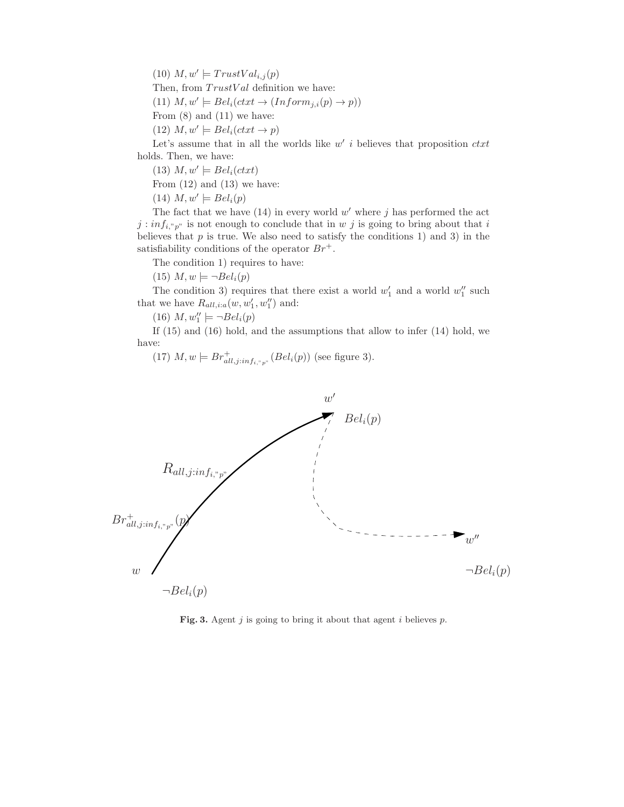(10)  $M, w' \models TrustVal_{i,j}(p)$ Then, from  $TrustVal$  definition we have: (11)  $M, w' \models Bel_i(ctxt \rightarrow (Inform_{j,i}(p) \rightarrow p))$ From (8) and (11) we have: (12)  $M, w' \models Bel_i(ctxt \rightarrow p)$ 

Let's assume that in all the worlds like  $w'$  i believes that proposition  $\textit{ctxt}$ holds. Then, we have:

(13)  $M, w' \models Bel_i(ctxt)$ 

From  $(12)$  and  $(13)$  we have:

(14)  $M, w' \models Bel_i(p)$ 

The fact that we have  $(14)$  in every world w' where j has performed the act  $j : inf_{i, "p" }$  is not enough to conclude that in w j is going to bring about that i believes that  $p$  is true. We also need to satisfy the conditions 1) and 3) in the satisfiability conditions of the operator  $Br^+$ .

The condition 1) requires to have:

 $(15)$   $M, w \models \neg Bel_i(p)$ 

The condition 3) requires that there exist a world  $w'_1$  and a world  $w''_1$  such that we have  $R_{all, i:a}(w, w_1', w_1'')$  and:

(16)  $M, w''_1 \models \neg Bel_i(p)$ 

If (15) and (16) hold, and the assumptions that allow to infer (14) hold, we have:

(17) 
$$
M, w \models Br_{all,j:inf_{i, v, p^n}^+(Bel_i(p))
$$
 (see figure 3).



Fig. 3. Agent  $j$  is going to bring it about that agent  $i$  believes  $p$ .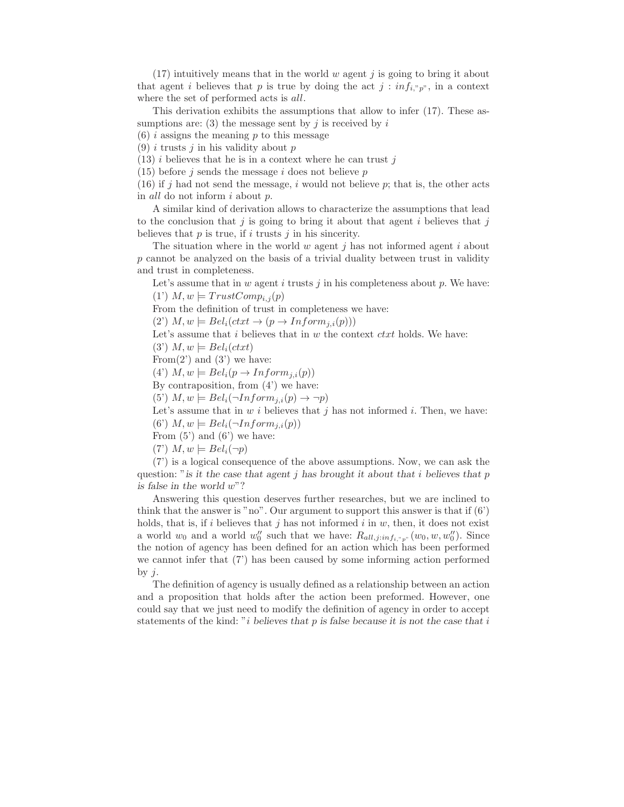$(17)$  intuitively means that in the world w agent j is going to bring it about that agent i believes that p is true by doing the act  $j : inf_{i, {^v}p^{\nu}}$ , in a context where the set of performed acts is all.

This derivation exhibits the assumptions that allow to infer (17). These assumptions are: (3) the message sent by j is received by  $i$ 

 $(6)$  *i* assigns the meaning *p* to this message

(9) i trusts j in his validity about p

 $(13)$  *i* believes that he is in a context where he can trust j

 $(15)$  before j sends the message i does not believe p

(16) if j had not send the message, i would not believe p; that is, the other acts in all do not inform i about p.

A similar kind of derivation allows to characterize the assumptions that lead to the conclusion that  $j$  is going to bring it about that agent  $i$  believes that  $j$ believes that  $p$  is true, if  $i$  trusts  $j$  in his sincerity.

The situation where in the world  $w$  agent  $j$  has not informed agent  $i$  about p cannot be analyzed on the basis of a trivial duality between trust in validity and trust in completeness.

Let's assume that in  $w$  agent  $i$  trusts  $j$  in his completeness about  $p$ . We have: (1')  $M, w \models TrustComp_{i,j}(p)$ 

From the definition of trust in completeness we have:

 $(2')$   $M, w \models Bel_i(ctxt \rightarrow (p \rightarrow Inform_{i,i}(p)))$ 

Let's assume that  $i$  believes that in  $w$  the context  $\textit{ctxt}$  holds. We have:

 $(3')$   $M, w \models Bel_i(ctxt)$ 

From(2') and (3') we have:

(4')  $M, w \models Bel_i(p \rightarrow Inform_{j,i}(p))$ 

By contraposition, from  $(4')$  we have:

(5')  $M, w \models Bel_i(\neg Inform_{j,i}(p) \rightarrow \neg p)$ 

Let's assume that in  $w i$  believes that  $j$  has not informed  $i$ . Then, we have: (6')  $M, w \models Bel_i(\neg Inform_{i,i}(p))$ 

From  $(5')$  and  $(6')$  we have:

 $(T') M, w \models Bel_i(\neg p)$ 

(7') is a logical consequence of the above assumptions. Now, we can ask the question: " is it the case that agent j has brought it about that i believes that p is false in the world w"?

Answering this question deserves further researches, but we are inclined to think that the answer is "no". Our argument to support this answer is that if  $(6')$ holds, that is, if i believes that j has not informed i in w, then, it does not exist a world  $w_0$  and a world  $w_0''$  such that we have:  $R_{all,j:inf_{i, {^v}p^v}}(w_0, w, w_0'')$ . Since the notion of agency has been defined for an action which has been performed we cannot infer that (7') has been caused by some informing action performed by  $j$ .

The definition of agency is usually defined as a relationship between an action and a proposition that holds after the action been preformed. However, one could say that we just need to modify the definition of agency in order to accept statements of the kind: "i believes that  $p$  is false because it is not the case that i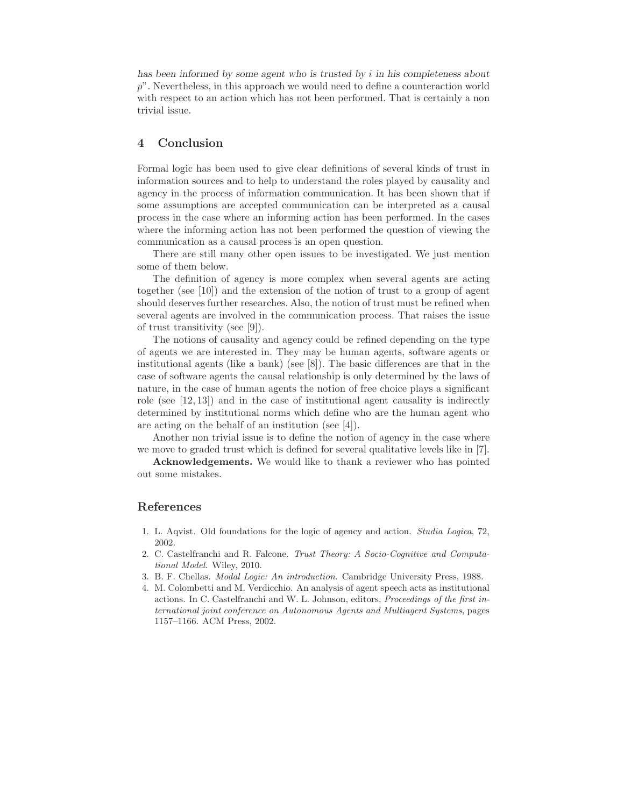has been informed by some agent who is trusted by i in his completeness about p". Nevertheless, in this approach we would need to define a counteraction world with respect to an action which has not been performed. That is certainly a non trivial issue.

# 4 Conclusion

Formal logic has been used to give clear definitions of several kinds of trust in information sources and to help to understand the roles played by causality and agency in the process of information communication. It has been shown that if some assumptions are accepted communication can be interpreted as a causal process in the case where an informing action has been performed. In the cases where the informing action has not been performed the question of viewing the communication as a causal process is an open question.

There are still many other open issues to be investigated. We just mention some of them below.

The definition of agency is more complex when several agents are acting together (see [10]) and the extension of the notion of trust to a group of agent should deserves further researches. Also, the notion of trust must be refined when several agents are involved in the communication process. That raises the issue of trust transitivity (see [9]).

The notions of causality and agency could be refined depending on the type of agents we are interested in. They may be human agents, software agents or institutional agents (like a bank) (see [8]). The basic differences are that in the case of software agents the causal relationship is only determined by the laws of nature, in the case of human agents the notion of free choice plays a significant role (see  $[12, 13]$ ) and in the case of institutional agent causality is indirectly determined by institutional norms which define who are the human agent who are acting on the behalf of an institution (see [4]).

Another non trivial issue is to define the notion of agency in the case where we move to graded trust which is defined for several qualitative levels like in [7].

Acknowledgements. We would like to thank a reviewer who has pointed out some mistakes.

# References

- 1. L. Aqvist. Old foundations for the logic of agency and action. Studia Logica, 72, 2002.
- 2. C. Castelfranchi and R. Falcone. Trust Theory: A Socio-Cognitive and Computational Model. Wiley, 2010.
- 3. B. F. Chellas. Modal Logic: An introduction. Cambridge University Press, 1988.
- 4. M. Colombetti and M. Verdicchio. An analysis of agent speech acts as institutional actions. In C. Castelfranchi and W. L. Johnson, editors, Proceedings of the first international joint conference on Autonomous Agents and Multiagent Systems, pages 1157–1166. ACM Press, 2002.